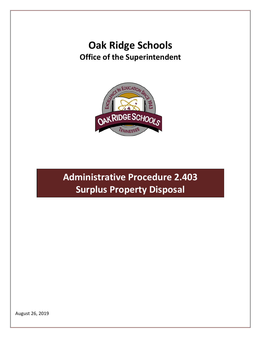# **Oak Ridge Schools Office of the Superintendent**



**Administrative Procedure 2.403 Surplus Property Disposal** 

August 26, 2019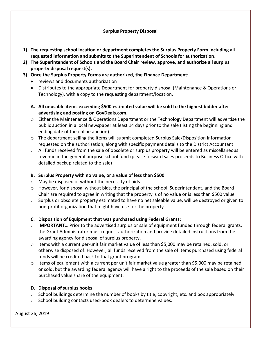### **Surplus Property Disposal**

- **1) The requesting school location or department completes the Surplus Property Form including all requested information and submits to the Superintendent of Schools for authorization.**
- **2) The Superintendent of Schools and the Board Chair review, approve, and authorize all surplus property disposal request(s).**
- **3) Once the Surplus Property Forms are authorized, the Finance Department:**
	- reviews and documents authorization
	- Distributes to the appropriate Department for property disposal (Maintenance & Operations or Technology), with a copy to the requesting department/location.
	- **A. All unusable items exceeding \$500 estimated value will be sold to the highest bidder after advertising and posting on GovDeals.com.**
	- o Either the Maintenance & Operations Department or the Technology Department will advertise the public auction in a local newspaper at least 14 days prior to the sale (listing the beginning and ending date of the online auction)
	- $\circ$  The department selling the items will submit completed Surplus Sale/Disposition information requested on the authorization, along with specific payment details to the District Accountant
	- $\circ$  All funds received from the sale of obsolete or surplus property will be entered as miscellaneous revenue in the general purpose school fund (please forward sales proceeds to Business Office with detailed backup related to the sale)

### **B. Surplus Property with no value, or a value of less than \$500**

- o May be disposed of without the necessity of bids
- $\circ$  However, for disposal without bids, the principal of the school, Superintendent, and the Board Chair are required to agree in writing that the property is of no value or is less than \$500 value
- $\circ$  Surplus or obsolete property estimated to have no net saleable value, will be destroyed or given to non-profit organization that might have use for the property

## **C. Disposition of Equipment that was purchased using Federal Grants:**

- o **IMPORTANT**… Prior to the advertised surplus or sale of equipment funded through federal grants, the Grant Administrator must request authorization and provide detailed instructions from the awarding agency for disposal of surplus property.
- o Items with a current per-unit fair market value of less than \$5,000 may be retained, sold, or otherwise disposed of. However, all funds received from the sale of items purchased using federal funds will be credited back to that grant program.
- $\circ$  Items of equipment with a current per unit fair market value greater than \$5,000 may be retained or sold, but the awarding federal agency will have a right to the proceeds of the sale based on their purchased value share of the equipment.

### **D. Disposal of surplus books**

- $\circ$  School buildings determine the number of books by title, copyright, etc. and box appropriately.
- o School building contacts used-book dealers to determine values.